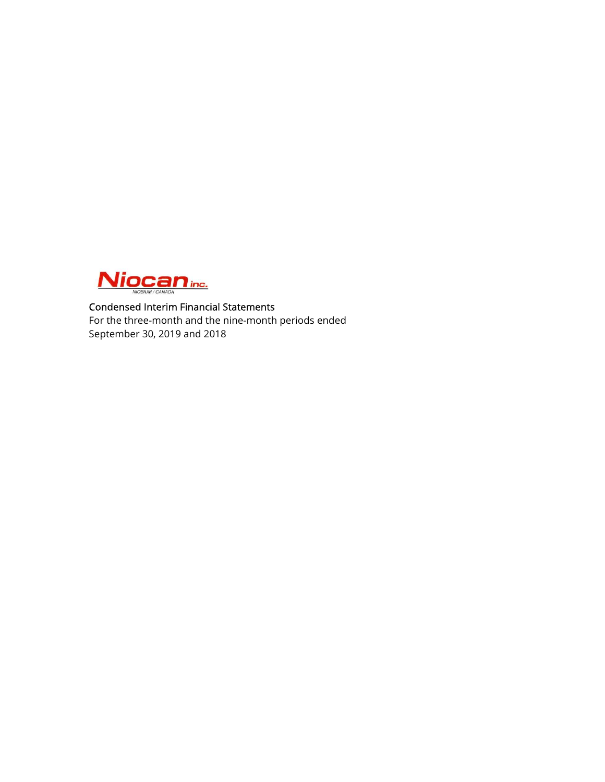

# Condensed Interim Financial Statements For the three-month and the nine-month periods ended September 30, 2019 and 2018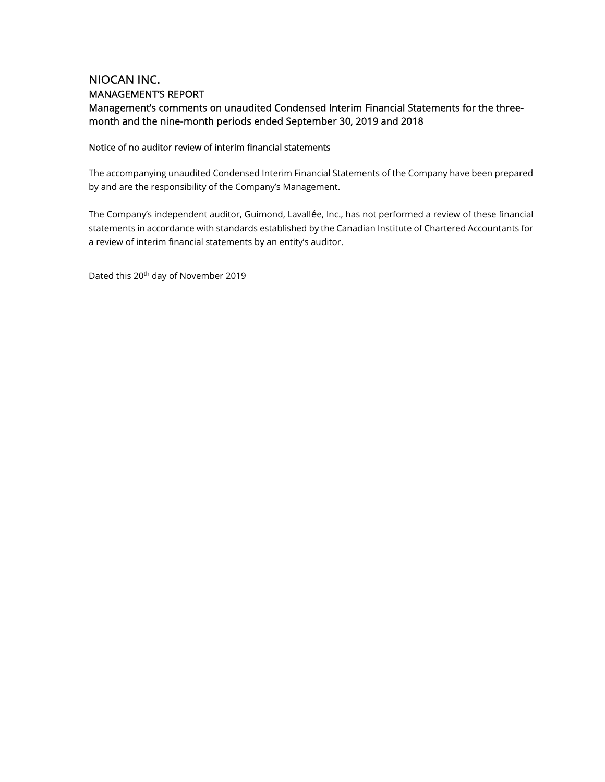# NIOCAN INC. MANAGEMENT'S REPORT Management's comments on unaudited Condensed Interim Financial Statements for the threemonth and the nine-month periods ended September 30, 2019 and 2018

# Notice of no auditor review of interim financial statements

The accompanying unaudited Condensed Interim Financial Statements of the Company have been prepared by and are the responsibility of the Company's Management.

The Company's independent auditor, Guimond, Lavallée, Inc., has not performed a review of these financial statements in accordance with standards established by the Canadian Institute of Chartered Accountants for a review of interim financial statements by an entity's auditor.

Dated this 20th day of November 2019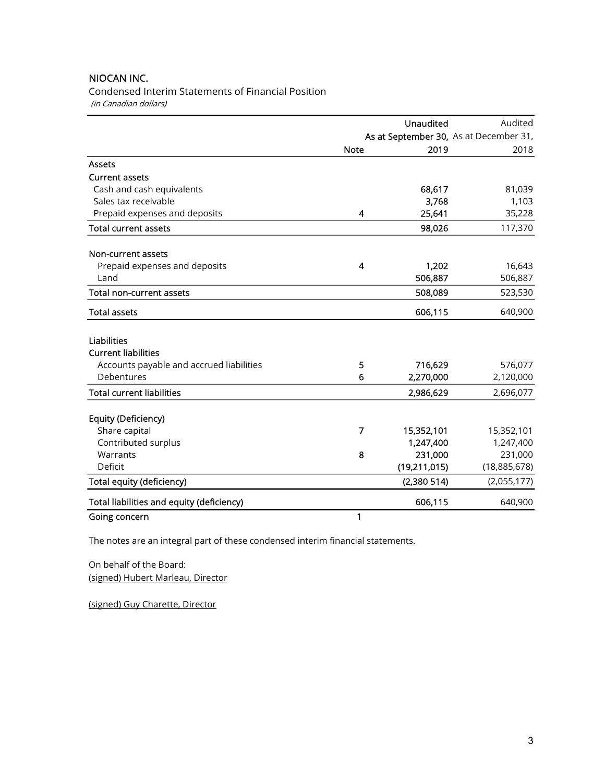Condensed Interim Statements of Financial Position (in Canadian dollars)

|                                           | Unaudited                              |              | Audited      |  |
|-------------------------------------------|----------------------------------------|--------------|--------------|--|
|                                           | As at September 30, As at December 31, |              |              |  |
|                                           | <b>Note</b>                            | 2019         | 2018         |  |
| <b>Assets</b>                             |                                        |              |              |  |
| <b>Current assets</b>                     |                                        |              |              |  |
| Cash and cash equivalents                 |                                        | 68,617       | 81,039       |  |
| Sales tax receivable                      |                                        | 3,768        | 1,103        |  |
| Prepaid expenses and deposits             | 4                                      | 25,641       | 35,228       |  |
| <b>Total current assets</b>               |                                        | 98,026       | 117,370      |  |
| Non-current assets                        |                                        |              |              |  |
| Prepaid expenses and deposits             | 4                                      | 1,202        | 16,643       |  |
| Land                                      |                                        | 506,887      | 506,887      |  |
| <b>Total non-current assets</b>           |                                        | 508,089      | 523,530      |  |
| <b>Total assets</b>                       |                                        | 606,115      | 640,900      |  |
| <b>Liabilities</b>                        |                                        |              |              |  |
| <b>Current liabilities</b>                |                                        |              |              |  |
| Accounts payable and accrued liabilities  | 5                                      | 716,629      | 576,077      |  |
| Debentures                                | 6                                      | 2,270,000    | 2,120,000    |  |
| <b>Total current liabilities</b>          |                                        | 2,986,629    | 2,696,077    |  |
| <b>Equity (Deficiency)</b>                |                                        |              |              |  |
| Share capital                             | 7                                      | 15,352,101   | 15,352,101   |  |
| Contributed surplus                       |                                        | 1,247,400    | 1,247,400    |  |
| Warrants                                  | 8                                      | 231,000      | 231,000      |  |
| Deficit                                   |                                        | (19,211,015) | (18,885,678) |  |
| <b>Total equity (deficiency)</b>          |                                        | (2,380514)   | (2,055,177)  |  |
| Total liabilities and equity (deficiency) |                                        | 606,115      | 640,900      |  |
| Going concern                             | 1                                      |              |              |  |

The notes are an integral part of these condensed interim financial statements.

On behalf of the Board: (signed) Hubert Marleau, Director

(signed) Guy Charette, Director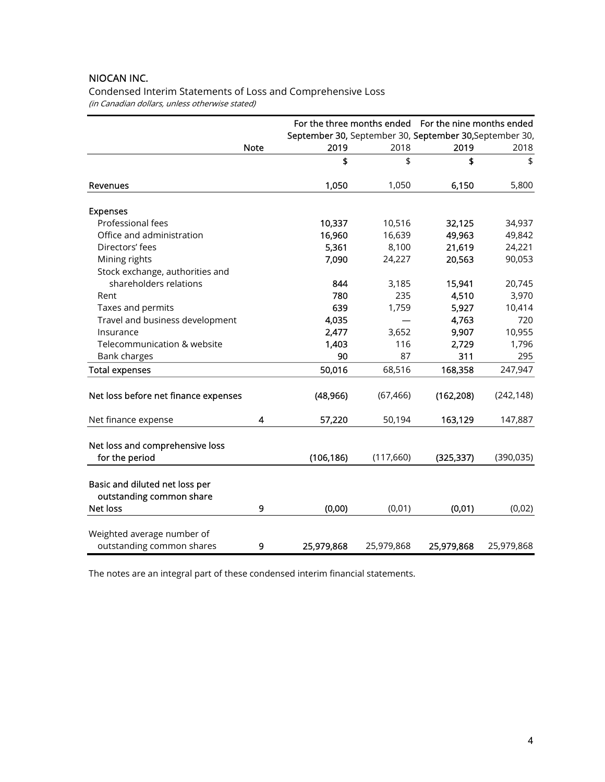Condensed Interim Statements of Loss and Comprehensive Loss (in Canadian dollars, unless otherwise stated)

|                                                                               |             |                                                         |            | For the three months ended For the nine months ended |            |
|-------------------------------------------------------------------------------|-------------|---------------------------------------------------------|------------|------------------------------------------------------|------------|
|                                                                               |             | September 30, September 30, September 30, September 30, |            |                                                      |            |
|                                                                               | <b>Note</b> | 2019                                                    | 2018       | 2019                                                 | 2018       |
|                                                                               |             | \$                                                      | \$         | \$                                                   | \$         |
| Revenues                                                                      |             | 1,050                                                   | 1,050      | 6,150                                                | 5,800      |
| <b>Expenses</b>                                                               |             |                                                         |            |                                                      |            |
| Professional fees                                                             |             | 10,337                                                  | 10,516     | 32,125                                               | 34,937     |
| Office and administration                                                     |             | 16,960                                                  | 16,639     | 49,963                                               | 49,842     |
| Directors' fees                                                               |             | 5,361                                                   | 8,100      | 21,619                                               | 24,221     |
| Mining rights                                                                 |             | 7,090                                                   | 24,227     | 20,563                                               | 90,053     |
| Stock exchange, authorities and                                               |             |                                                         |            |                                                      |            |
| shareholders relations                                                        |             | 844                                                     | 3,185      | 15,941                                               | 20,745     |
| Rent                                                                          |             | 780                                                     | 235        | 4,510                                                | 3,970      |
| Taxes and permits                                                             |             | 639                                                     | 1,759      | 5,927                                                | 10,414     |
| Travel and business development                                               |             | 4,035                                                   |            | 4,763                                                | 720        |
| Insurance                                                                     |             | 2,477                                                   | 3,652      | 9,907                                                | 10,955     |
| Telecommunication & website                                                   |             | 1,403                                                   | 116        | 2,729                                                | 1,796      |
| <b>Bank charges</b>                                                           |             | 90                                                      | 87         | 311                                                  | 295        |
| <b>Total expenses</b>                                                         |             | 50,016                                                  | 68,516     | 168,358                                              | 247,947    |
| Net loss before net finance expenses                                          |             | (48, 966)                                               | (67, 466)  | (162, 208)                                           | (242, 148) |
| Net finance expense                                                           | 4           | 57,220                                                  | 50,194     | 163,129                                              | 147,887    |
| Net loss and comprehensive loss<br>for the period                             |             | (106, 186)                                              | (117,660)  | (325, 337)                                           | (390, 035) |
|                                                                               |             |                                                         |            |                                                      |            |
| Basic and diluted net loss per<br>outstanding common share<br><b>Net loss</b> | 9           | (0,00)                                                  | (0,01)     | (0,01)                                               | (0,02)     |
|                                                                               |             |                                                         |            |                                                      |            |
| Weighted average number of<br>outstanding common shares                       | 9           | 25,979,868                                              | 25,979,868 | 25,979,868                                           | 25,979,868 |

The notes are an integral part of these condensed interim financial statements.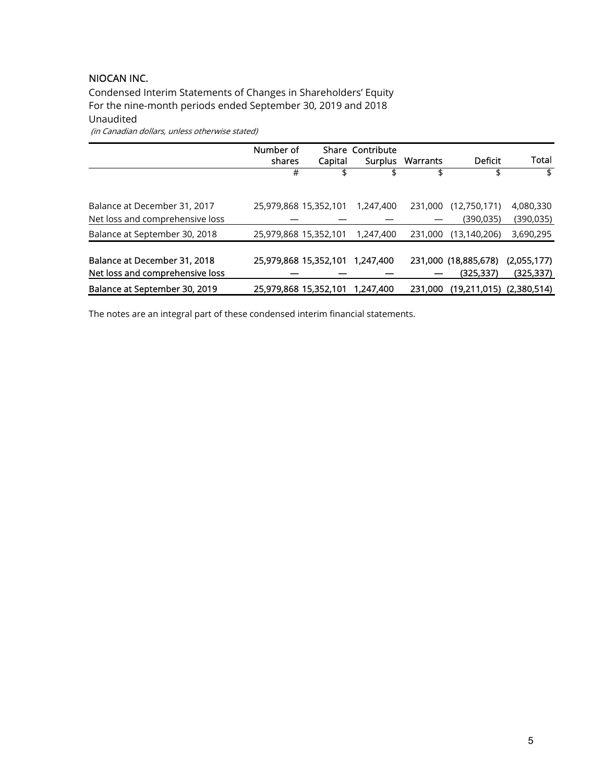Condensed Interim Statements of Changes in Shareholders' Equity For the nine-month periods ended September 30, 2019 and 2018 Unaudited (in Canadian dollars, unless otherwise stated)

|                                 | Number of<br>shares   | Capital               | <b>Share Contribute</b><br><b>Surplus</b> | Warrants | Deficit                      | Total       |
|---------------------------------|-----------------------|-----------------------|-------------------------------------------|----------|------------------------------|-------------|
|                                 | #                     |                       | \$                                        | \$       | \$                           | \$          |
|                                 |                       |                       |                                           |          |                              |             |
| Balance at December 31, 2017    |                       | 25,979,868 15,352,101 | 1,247,400                                 | 231,000  | (12,750,171)                 | 4,080,330   |
| Net loss and comprehensive loss |                       |                       |                                           |          | (390,035)                    | (390, 035)  |
| Balance at September 30, 2018   | 25,979,868 15,352,101 |                       | 1,247,400                                 | 231,000  | (13, 140, 206)               | 3,690,295   |
|                                 |                       |                       |                                           |          |                              |             |
| Balance at December 31, 2018    |                       | 25,979,868 15,352,101 | 1.247,400                                 |          | 231,000 (18,885,678)         | (2,055,177) |
| Net loss and comprehensive loss |                       |                       |                                           |          | (325, 337)                   | (325, 337)  |
| Balance at September 30, 2019   |                       | 25,979,868 15,352,101 | 1,247,400                                 | 231,000  | $(19,211,015)$ $(2,380,514)$ |             |

The notes are an integral part of these condensed interim financial statements.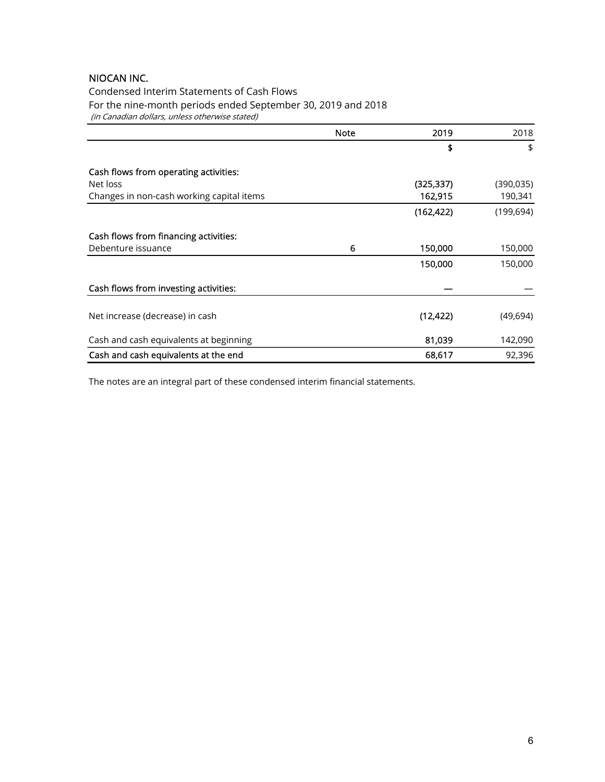Condensed Interim Statements of Cash Flows For the nine-month periods ended September 30, 2019 and 2018 (in Canadian dollars, unless otherwise stated)

|                                           | <b>Note</b> | 2019       | 2018       |
|-------------------------------------------|-------------|------------|------------|
|                                           |             | \$         | \$         |
| Cash flows from operating activities:     |             |            |            |
| Net loss                                  |             | (325, 337) | (390, 035) |
| Changes in non-cash working capital items |             | 162,915    | 190,341    |
|                                           |             | (162, 422) | (199, 694) |
| Cash flows from financing activities:     |             |            |            |
| Debenture issuance                        | 6           | 150,000    | 150,000    |
|                                           |             | 150,000    | 150,000    |
| Cash flows from investing activities:     |             |            |            |
| Net increase (decrease) in cash           |             | (12, 422)  | (49, 694)  |
| Cash and cash equivalents at beginning    |             | 81,039     | 142,090    |
| Cash and cash equivalents at the end      |             | 68,617     | 92,396     |

The notes are an integral part of these condensed interim financial statements.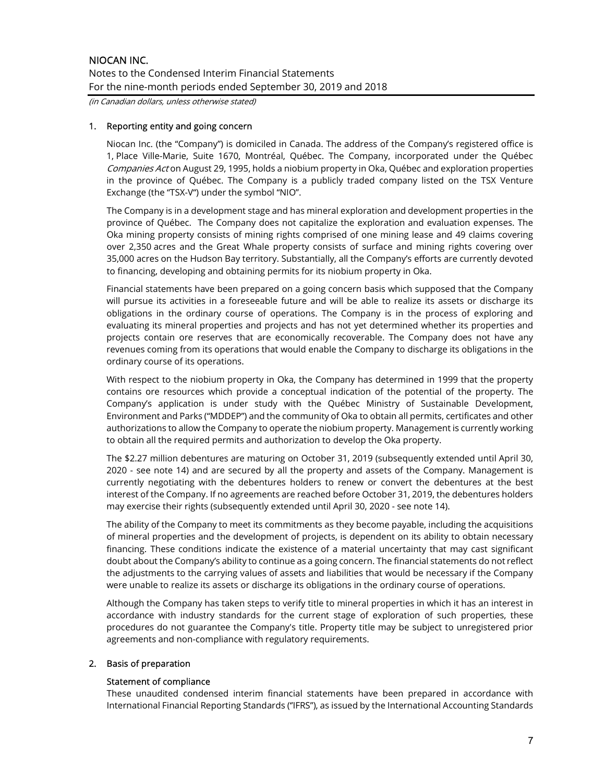(in Canadian dollars, unless otherwise stated)

# 1. Reporting entity and going concern

Niocan Inc. (the "Company") is domiciled in Canada. The address of the Company's registered office is 1, Place Ville-Marie, Suite 1670, Montréal, Québec. The Company, incorporated under the Québec Companies Act on August 29, 1995, holds a niobium property in Oka, Québec and exploration properties in the province of Québec. The Company is a publicly traded company listed on the TSX Venture Exchange (the "TSX-V") under the symbol "NIO".

The Company is in a development stage and has mineral exploration and development properties in the province of Québec. The Company does not capitalize the exploration and evaluation expenses. The Oka mining property consists of mining rights comprised of one mining lease and 49 claims covering over 2,350 acres and the Great Whale property consists of surface and mining rights covering over 35,000 acres on the Hudson Bay territory. Substantially, all the Company's efforts are currently devoted to financing, developing and obtaining permits for its niobium property in Oka.

Financial statements have been prepared on a going concern basis which supposed that the Company will pursue its activities in a foreseeable future and will be able to realize its assets or discharge its obligations in the ordinary course of operations. The Company is in the process of exploring and evaluating its mineral properties and projects and has not yet determined whether its properties and projects contain ore reserves that are economically recoverable. The Company does not have any revenues coming from its operations that would enable the Company to discharge its obligations in the ordinary course of its operations.

With respect to the niobium property in Oka, the Company has determined in 1999 that the property contains ore resources which provide a conceptual indication of the potential of the property. The Company's application is under study with the Québec Ministry of Sustainable Development, Environment and Parks ("MDDEP") and the community of Oka to obtain all permits, certificates and other authorizations to allow the Company to operate the niobium property. Management is currently working to obtain all the required permits and authorization to develop the Oka property.

The \$2.27 million debentures are maturing on October 31, 2019 (subsequently extended until April 30, 2020 - see note 14) and are secured by all the property and assets of the Company. Management is currently negotiating with the debentures holders to renew or convert the debentures at the best interest of the Company. If no agreements are reached before October 31, 2019, the debentures holders may exercise their rights (subsequently extended until April 30, 2020 - see note 14).

The ability of the Company to meet its commitments as they become payable, including the acquisitions of mineral properties and the development of projects, is dependent on its ability to obtain necessary financing. These conditions indicate the existence of a material uncertainty that may cast significant doubt about the Company's ability to continue as a going concern. The financial statements do not reflect the adjustments to the carrying values of assets and liabilities that would be necessary if the Company were unable to realize its assets or discharge its obligations in the ordinary course of operations.

Although the Company has taken steps to verify title to mineral properties in which it has an interest in accordance with industry standards for the current stage of exploration of such properties, these procedures do not guarantee the Company's title. Property title may be subject to unregistered prior agreements and non-compliance with regulatory requirements.

# 2. Basis of preparation

# Statement of compliance

These unaudited condensed interim financial statements have been prepared in accordance with International Financial Reporting Standards (''IFRS''), as issued by the International Accounting Standards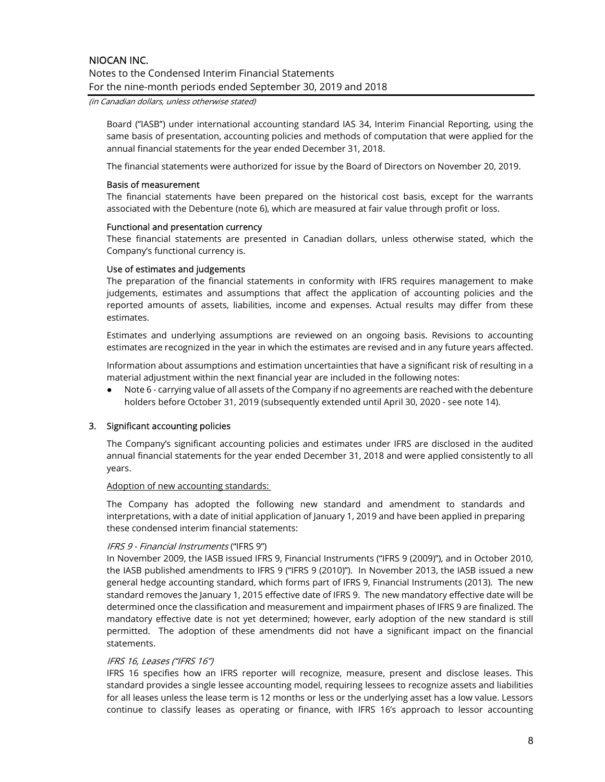(in Canadian dollars, unless otherwise stated)

Board (''IASB'') under international accounting standard IAS 34, Interim Financial Reporting, using the same basis of presentation, accounting policies and methods of computation that were applied for the annual financial statements for the year ended December 31, 2018.

The financial statements were authorized for issue by the Board of Directors on November 20, 2019.

### Basis of measurement

The financial statements have been prepared on the historical cost basis, except for the warrants associated with the Debenture (note 6), which are measured at fair value through profit or loss.

#### Functional and presentation currency

These financial statements are presented in Canadian dollars, unless otherwise stated, which the Company's functional currency is.

# Use of estimates and judgements

The preparation of the financial statements in conformity with IFRS requires management to make judgements, estimates and assumptions that affect the application of accounting policies and the reported amounts of assets, liabilities, income and expenses. Actual results may differ from these estimates.

Estimates and underlying assumptions are reviewed on an ongoing basis. Revisions to accounting estimates are recognized in the year in which the estimates are revised and in any future years affected.

Information about assumptions and estimation uncertainties that have a significant risk of resulting in a material adjustment within the next financial year are included in the following notes:

● Note 6 - carrying value of all assets of the Company if no agreements are reached with the debenture holders before October 31, 2019 (subsequently extended until April 30, 2020 - see note 14).

# 3. Significant accounting policies

The Company's significant accounting policies and estimates under IFRS are disclosed in the audited annual financial statements for the year ended December 31, 2018 and were applied consistently to all years.

#### Adoption of new accounting standards:

The Company has adopted the following new standard and amendment to standards and interpretations, with a date of initial application of January 1, 2019 and have been applied in preparing these condensed interim financial statements:

# IFRS 9 - Financial Instruments ("IFRS 9")

In November 2009, the IASB issued IFRS 9, Financial Instruments ("IFRS 9 (2009)"), and in October 2010, the IASB published amendments to IFRS 9 ("IFRS 9 (2010)"). In November 2013, the IASB issued a new general hedge accounting standard, which forms part of IFRS 9, Financial Instruments (2013). The new standard removes the January 1, 2015 effective date of IFRS 9. The new mandatory effective date will be determined once the classification and measurement and impairment phases of IFRS 9 are finalized. The mandatory effective date is not yet determined; however, early adoption of the new standard is still permitted. The adoption of these amendments did not have a significant impact on the financial statements.

# IFRS 16, Leases ("IFRS 16")

IFRS 16 specifies how an IFRS reporter will recognize, measure, present and disclose leases. This standard provides a single lessee accounting model, requiring lessees to recognize assets and liabilities for all leases unless the lease term is 12 months or less or the underlying asset has a low value. Lessors continue to classify leases as operating or finance, with IFRS 16's approach to lessor accounting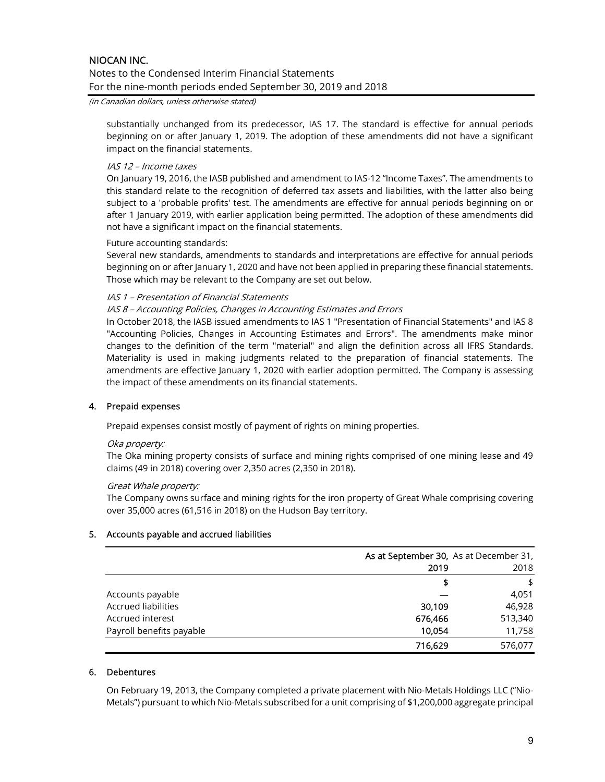#### (in Canadian dollars, unless otherwise stated)

substantially unchanged from its predecessor, IAS 17. The standard is effective for annual periods beginning on or after January 1, 2019. The adoption of these amendments did not have a significant impact on the financial statements.

# IAS 12 – Income taxes

On January 19, 2016, the IASB published and amendment to IAS-12 "Income Taxes". The amendments to this standard relate to the recognition of deferred tax assets and liabilities, with the latter also being subject to a 'probable profits' test. The amendments are effective for annual periods beginning on or after 1 January 2019, with earlier application being permitted. The adoption of these amendments did not have a significant impact on the financial statements.

#### Future accounting standards:

Several new standards, amendments to standards and interpretations are effective for annual periods beginning on or after January 1, 2020 and have not been applied in preparing these financial statements. Those which may be relevant to the Company are set out below.

#### IAS 1 – Presentation of Financial Statements

# IAS 8 – Accounting Policies, Changes in Accounting Estimates and Errors

In October 2018, the IASB issued amendments to IAS 1 "Presentation of Financial Statements" and IAS 8 "Accounting Policies, Changes in Accounting Estimates and Errors". The amendments make minor changes to the definition of the term "material" and align the definition across all IFRS Standards. Materiality is used in making judgments related to the preparation of financial statements. The amendments are effective January 1, 2020 with earlier adoption permitted. The Company is assessing the impact of these amendments on its financial statements.

# 4. Prepaid expenses

Prepaid expenses consist mostly of payment of rights on mining properties.

#### Oka property:

The Oka mining property consists of surface and mining rights comprised of one mining lease and 49 claims (49 in 2018) covering over 2,350 acres (2,350 in 2018).

#### Great Whale property:

The Company owns surface and mining rights for the iron property of Great Whale comprising covering over 35,000 acres (61,516 in 2018) on the Hudson Bay territory.

# 5. Accounts payable and accrued liabilities

|                            | As at September 30, As at December 31, |         |
|----------------------------|----------------------------------------|---------|
|                            | 2019                                   | 2018    |
|                            |                                        | \$      |
| Accounts payable           |                                        | 4,051   |
| <b>Accrued liabilities</b> | 30,109                                 | 46,928  |
| Accrued interest           | 676,466                                | 513,340 |
| Payroll benefits payable   | 10,054                                 | 11,758  |
|                            | 716,629                                | 576,077 |

### 6. Debentures

On February 19, 2013, the Company completed a private placement with Nio-Metals Holdings LLC ("Nio-Metals") pursuant to which Nio-Metals subscribed for a unit comprising of \$1,200,000 aggregate principal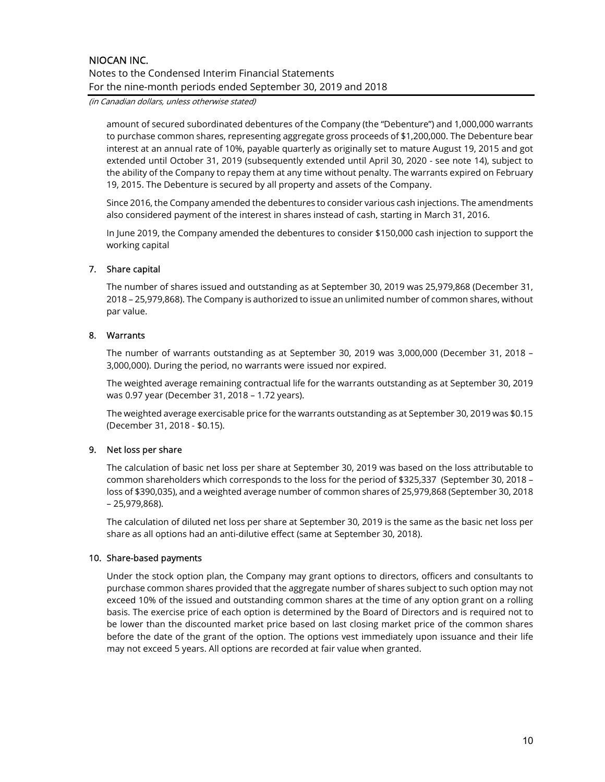(in Canadian dollars, unless otherwise stated)

amount of secured subordinated debentures of the Company (the "Debenture") and 1,000,000 warrants to purchase common shares, representing aggregate gross proceeds of \$1,200,000. The Debenture bear interest at an annual rate of 10%, payable quarterly as originally set to mature August 19, 2015 and got extended until October 31, 2019 (subsequently extended until April 30, 2020 - see note 14), subject to the ability of the Company to repay them at any time without penalty. The warrants expired on February 19, 2015. The Debenture is secured by all property and assets of the Company.

Since 2016, the Company amended the debentures to consider various cash injections. The amendments also considered payment of the interest in shares instead of cash, starting in March 31, 2016.

In June 2019, the Company amended the debentures to consider \$150,000 cash injection to support the working capital

# 7. Share capital

The number of shares issued and outstanding as at September 30, 2019 was 25,979,868 (December 31, 2018 – 25,979,868). The Company is authorized to issue an unlimited number of common shares, without par value.

# 8. Warrants

The number of warrants outstanding as at September 30, 2019 was 3,000,000 (December 31, 2018 – 3,000,000). During the period, no warrants were issued nor expired.

The weighted average remaining contractual life for the warrants outstanding as at September 30, 2019 was 0.97 year (December 31, 2018 – 1.72 years).

The weighted average exercisable price for the warrants outstanding as at September 30, 2019 was \$0.15 (December 31, 2018 - \$0.15).

# 9. Net loss per share

The calculation of basic net loss per share at September 30, 2019 was based on the loss attributable to common shareholders which corresponds to the loss for the period of \$325,337 (September 30, 2018 – loss of \$390,035), and a weighted average number of common shares of 25,979,868 (September 30, 2018 – 25,979,868).

The calculation of diluted net loss per share at September 30, 2019 is the same as the basic net loss per share as all options had an anti-dilutive effect (same at September 30, 2018).

# 10. Share-based payments

Under the stock option plan, the Company may grant options to directors, officers and consultants to purchase common shares provided that the aggregate number of shares subject to such option may not exceed 10% of the issued and outstanding common shares at the time of any option grant on a rolling basis. The exercise price of each option is determined by the Board of Directors and is required not to be lower than the discounted market price based on last closing market price of the common shares before the date of the grant of the option. The options vest immediately upon issuance and their life may not exceed 5 years. All options are recorded at fair value when granted.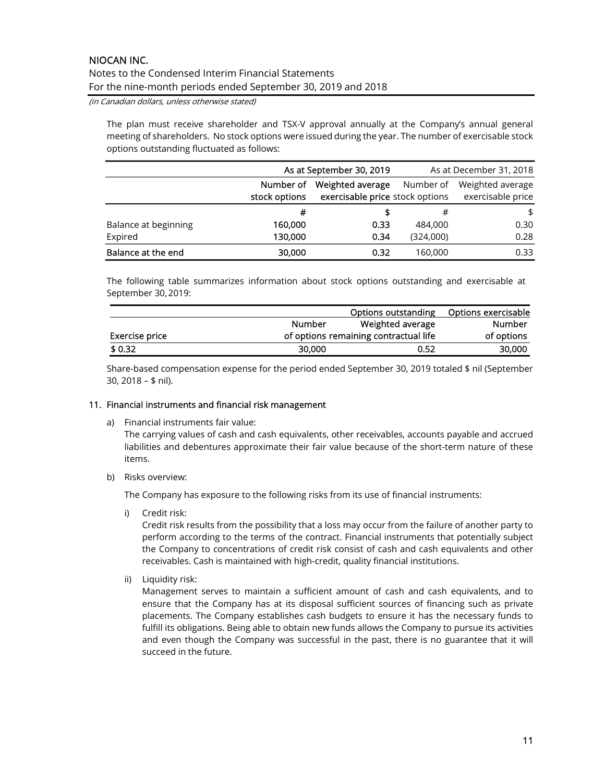(in Canadian dollars, unless otherwise stated)

The plan must receive shareholder and TSX-V approval annually at the Company's annual general meeting of shareholders. No stock options were issued during the year. The number of exercisable stock options outstanding fluctuated as follows:

|                      |                            | As at September 30, 2019                                         |           | As at December 31, 2018               |
|----------------------|----------------------------|------------------------------------------------------------------|-----------|---------------------------------------|
|                      | Number of<br>stock options | Weighted average<br>Number of<br>exercisable price stock options |           | Weighted average<br>exercisable price |
|                      | #                          |                                                                  | #         | \$                                    |
| Balance at beginning | 160,000                    | 0.33                                                             | 484,000   | 0.30                                  |
| Expired              | 130,000                    | 0.34                                                             | (324,000) | 0.28                                  |
| Balance at the end   | 30,000                     | 0.32                                                             | 160,000   | 0.33                                  |

The following table summarizes information about stock options outstanding and exercisable at September 30, 2019:

|                |               | Options outstanding                   | Options exercisable |
|----------------|---------------|---------------------------------------|---------------------|
|                | <b>Number</b> | Weighted average                      | Number              |
| Exercise price |               | of options remaining contractual life | of options          |
| \$ 0.32        | 30,000        | 0.52                                  | 30,000              |

Share-based compensation expense for the period ended September 30, 2019 totaled \$ nil (September 30, 2018 – \$ nil).

# 11. Financial instruments and financial risk management

a) Financial instruments fair value:

The carrying values of cash and cash equivalents, other receivables, accounts payable and accrued liabilities and debentures approximate their fair value because of the short-term nature of these items.

b) Risks overview:

The Company has exposure to the following risks from its use of financial instruments:

i) Credit risk:

Credit risk results from the possibility that a loss may occur from the failure of another party to perform according to the terms of the contract. Financial instruments that potentially subject the Company to concentrations of credit risk consist of cash and cash equivalents and other receivables. Cash is maintained with high-credit, quality financial institutions.

ii) Liquidity risk:

Management serves to maintain a sufficient amount of cash and cash equivalents, and to ensure that the Company has at its disposal sufficient sources of financing such as private placements. The Company establishes cash budgets to ensure it has the necessary funds to fulfill its obligations. Being able to obtain new funds allows the Company to pursue its activities and even though the Company was successful in the past, there is no guarantee that it will succeed in the future.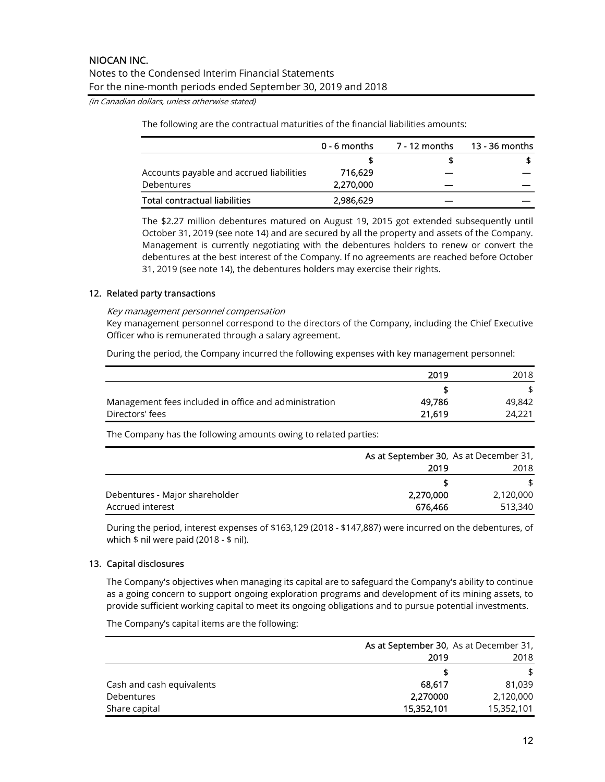(in Canadian dollars, unless otherwise stated)

The following are the contractual maturities of the financial liabilities amounts:

|                                          | $0 - 6$ months | 7 - 12 months | 13 - 36 months |
|------------------------------------------|----------------|---------------|----------------|
|                                          |                |               |                |
| Accounts payable and accrued liabilities | 716.629        |               |                |
| Debentures                               | 2,270,000      |               |                |
| Total contractual liabilities            | 2,986,629      |               |                |

The \$2.27 million debentures matured on August 19, 2015 got extended subsequently until October 31, 2019 (see note 14) and are secured by all the property and assets of the Company. Management is currently negotiating with the debentures holders to renew or convert the debentures at the best interest of the Company. If no agreements are reached before October 31, 2019 (see note 14), the debentures holders may exercise their rights.

# 12. Related party transactions

#### Key management personnel compensation

Key management personnel correspond to the directors of the Company, including the Chief Executive Officer who is remunerated through a salary agreement.

During the period, the Company incurred the following expenses with key management personnel:

|                                                       | 2019   | 2018   |
|-------------------------------------------------------|--------|--------|
|                                                       |        |        |
| Management fees included in office and administration | 49.786 | 49,842 |
| Directors' fees                                       | 21.619 | 24,221 |

The Company has the following amounts owing to related parties:

|                                | As at September 30, As at December 31, |           |  |
|--------------------------------|----------------------------------------|-----------|--|
|                                | 2019                                   | 2018      |  |
|                                |                                        |           |  |
| Debentures - Major shareholder | 2,270,000                              | 2,120,000 |  |
| Accrued interest               | 676.466                                | 513,340   |  |

During the period, interest expenses of \$163,129 (2018 - \$147,887) were incurred on the debentures, of which \$ nil were paid (2018 - \$ nil).

# 13. Capital disclosures

The Company's objectives when managing its capital are to safeguard the Company's ability to continue as a going concern to support ongoing exploration programs and development of its mining assets, to provide sufficient working capital to meet its ongoing obligations and to pursue potential investments.

The Company's capital items are the following:

|                           | As at September 30, As at December 31, |            |  |
|---------------------------|----------------------------------------|------------|--|
|                           | 2019                                   | 2018       |  |
|                           |                                        | \$         |  |
| Cash and cash equivalents | 68.617                                 | 81.039     |  |
| <b>Debentures</b>         | 2,270000                               | 2,120,000  |  |
| Share capital             | 15,352,101                             | 15,352,101 |  |